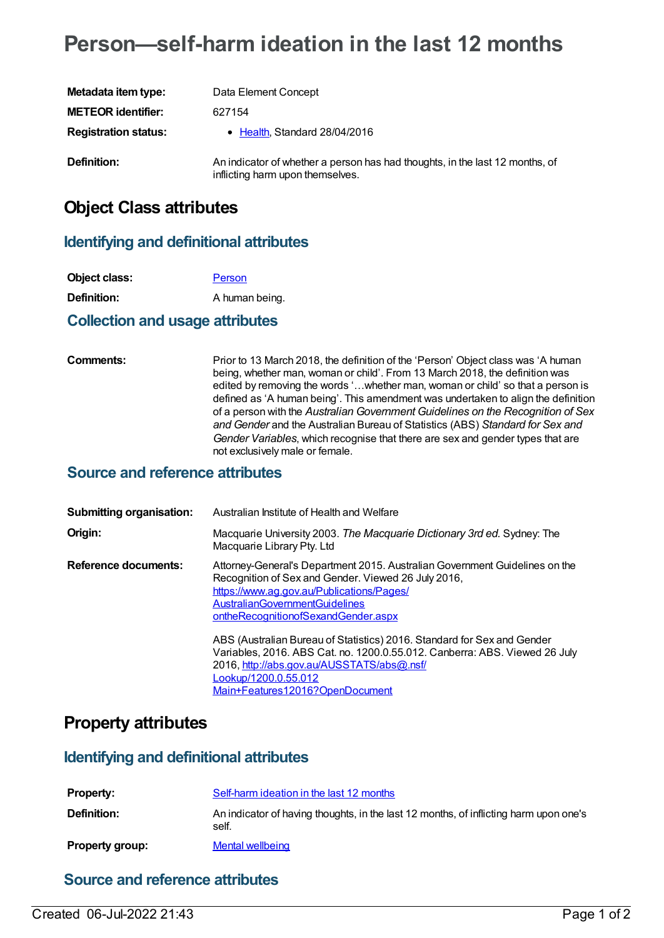# **Person—self-harm ideation in the last 12 months**

| Metadata item type:         | Data Element Concept                                                                                             |
|-----------------------------|------------------------------------------------------------------------------------------------------------------|
| <b>METEOR identifier:</b>   | 627154                                                                                                           |
| <b>Registration status:</b> | • Health, Standard 28/04/2016                                                                                    |
| <b>Definition:</b>          | An indicator of whether a person has had thoughts, in the last 12 months, of<br>inflicting harm upon themselves. |

## **Object Class attributes**

### **Identifying and definitional attributes**

| Object class:                          | Person         |
|----------------------------------------|----------------|
| Definition:                            | A human being. |
| <b>Collection and usage attributes</b> |                |

#### **Comments:** Prior to 13 March 2018, the definition of the 'Person' Object class was 'A human being, whether man, woman or child'. From 13 March 2018, the definition was edited by removing the words '…whether man, woman or child' so that a person is defined as 'A human being'. This amendment was undertaken to align the definition of a person with the *Australian Government Guidelines on the Recognition of Sex and Gender* and the Australian Bureau of Statistics (ABS) *Standard for Sex and Gender Variables*, which recognise that there are sex and gender types that are not exclusively male or female.

#### **Source and reference attributes**

| <b>Submitting organisation:</b> | Australian Institute of Health and Welfare                                                                                                                                                                                                                      |
|---------------------------------|-----------------------------------------------------------------------------------------------------------------------------------------------------------------------------------------------------------------------------------------------------------------|
| Origin:                         | Macquarie University 2003. The Macquarie Dictionary 3rd ed. Sydney: The<br>Macquarie Library Pty. Ltd                                                                                                                                                           |
| <b>Reference documents:</b>     | Attorney-General's Department 2015. Australian Government Guidelines on the<br>Recognition of Sex and Gender. Viewed 26 July 2016,<br>https://www.ag.gov.au/Publications/Pages/<br><b>AustralianGovernmentGuidelines</b><br>ontheRecognitionofSexandGender.aspx |
|                                 | ABS (Australian Bureau of Statistics) 2016. Standard for Sex and Gender<br>Variables, 2016. ABS Cat. no. 1200.0.55.012. Canberra: ABS. Viewed 26 July<br>2016, http://abs.gov.au/AUSSTATS/abs@.nsf/<br>Lookup/1200.0.55.012<br>Main+Features12016?OpenDocument  |

### **Property attributes**

#### **Identifying and definitional attributes**

| <b>Property:</b>       | Self-harm ideation in the last 12 months                                                       |
|------------------------|------------------------------------------------------------------------------------------------|
| <b>Definition:</b>     | An indicator of having thoughts, in the last 12 months, of inflicting harm upon one's<br>self. |
| <b>Property group:</b> | Mental wellbeing                                                                               |

#### **Source and reference attributes**